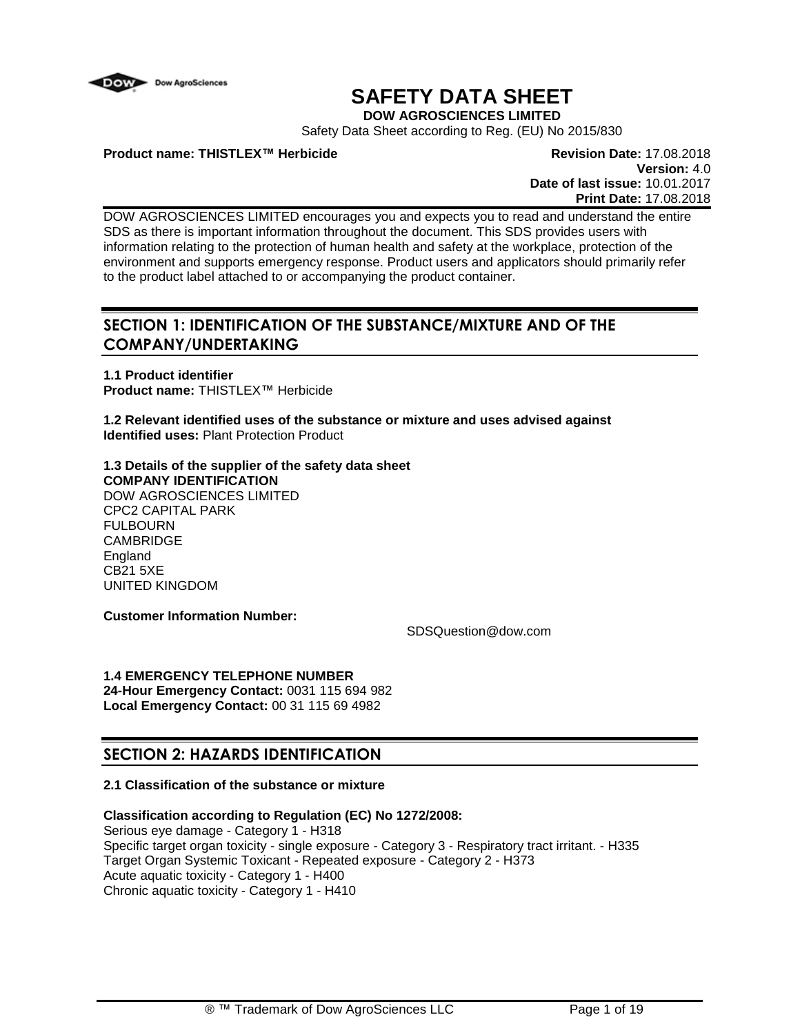

# **SAFETY DATA SHEET**

**DOW AGROSCIENCES LIMITED**

Safety Data Sheet according to Reg. (EU) No 2015/830

**Product name: THISTLEX™ Herbicide Revision Date:** 17.08.2018

**Version:** 4.0 **Date of last issue:** 10.01.2017 **Print Date:** 17.08.2018

DOW AGROSCIENCES LIMITED encourages you and expects you to read and understand the entire SDS as there is important information throughout the document. This SDS provides users with information relating to the protection of human health and safety at the workplace, protection of the environment and supports emergency response. Product users and applicators should primarily refer to the product label attached to or accompanying the product container.

## **SECTION 1: IDENTIFICATION OF THE SUBSTANCE/MIXTURE AND OF THE COMPANY/UNDERTAKING**

**1.1 Product identifier Product name:** THISTLEX™ Herbicide

**1.2 Relevant identified uses of the substance or mixture and uses advised against Identified uses:** Plant Protection Product

#### **1.3 Details of the supplier of the safety data sheet COMPANY IDENTIFICATION** DOW AGROSCIENCES LIMITED CPC2 CAPITAL PARK FULBOURN **CAMBRIDGE England** CB21 5XE UNITED KINGDOM

**Customer Information Number:**

SDSQuestion@dow.com

**1.4 EMERGENCY TELEPHONE NUMBER 24-Hour Emergency Contact:** 0031 115 694 982 **Local Emergency Contact:** 00 31 115 69 4982

## **SECTION 2: HAZARDS IDENTIFICATION**

### **2.1 Classification of the substance or mixture**

## **Classification according to Regulation (EC) No 1272/2008:**

Serious eye damage - Category 1 - H318 Specific target organ toxicity - single exposure - Category 3 - Respiratory tract irritant. - H335 Target Organ Systemic Toxicant - Repeated exposure - Category 2 - H373 Acute aquatic toxicity - Category 1 - H400 Chronic aquatic toxicity - Category 1 - H410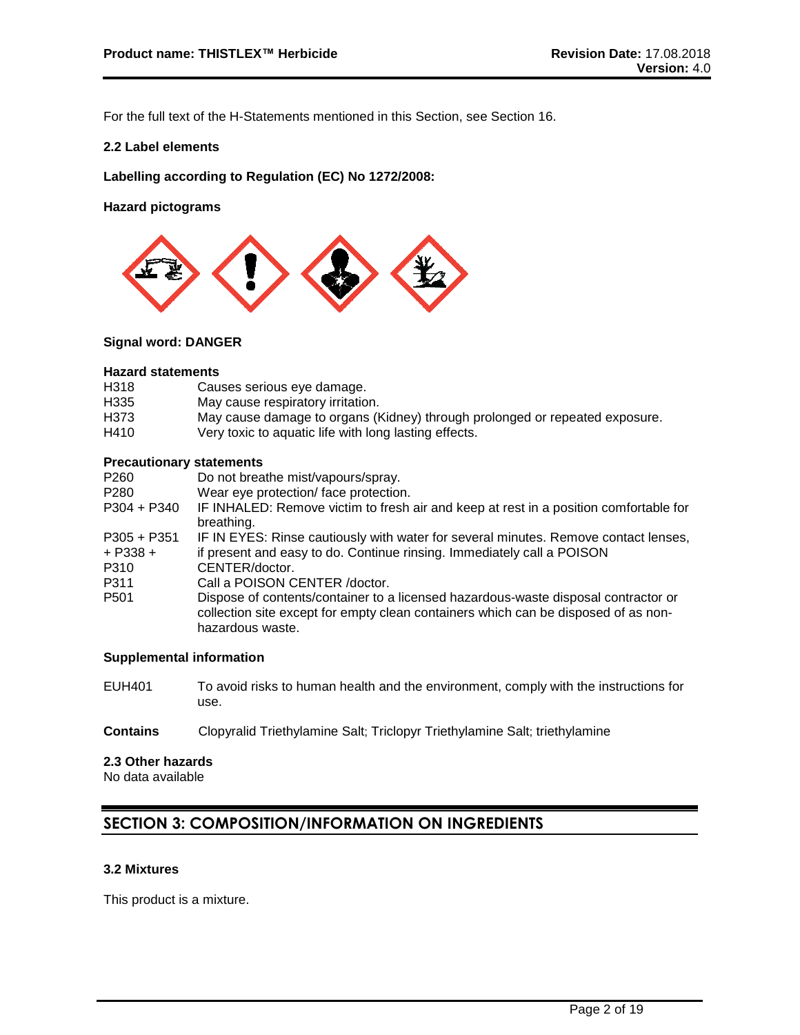For the full text of the H-Statements mentioned in this Section, see Section 16.

#### **2.2 Label elements**

**Labelling according to Regulation (EC) No 1272/2008:**

**Hazard pictograms**



#### **Signal word: DANGER**

#### **Hazard statements**

| H318 | Causes serious eye damage.        |
|------|-----------------------------------|
| H335 | May cause respiratory irritation. |
|      |                                   |

- H373 May cause damage to organs (Kidney) through prolonged or repeated exposure.<br>H410 Very toxic to aquatic life with long lasting effects.
- Very toxic to aquatic life with long lasting effects.

#### **Precautionary statements**

| P260                                | Do not breathe mist/vapours/spray.                                                                                                                                                           |
|-------------------------------------|----------------------------------------------------------------------------------------------------------------------------------------------------------------------------------------------|
| P280                                | Wear eye protection/ face protection.                                                                                                                                                        |
| P304 + P340                         | IF INHALED: Remove victim to fresh air and keep at rest in a position comfortable for<br>breathing.                                                                                          |
| $P305 + P351$                       | IF IN EYES: Rinse cautiously with water for several minutes. Remove contact lenses,                                                                                                          |
| $+$ P338 $+$                        | if present and easy to do. Continue rinsing. Immediately call a POISON                                                                                                                       |
| P310                                | CENTER/doctor.                                                                                                                                                                               |
| P311                                | Call a POISON CENTER / doctor.                                                                                                                                                               |
| P <sub>501</sub>                    | Dispose of contents/container to a licensed hazardous-waste disposal contractor or<br>collection site except for empty clean containers which can be disposed of as non-<br>hazardous waste. |
| Ourselves suislabel and surveilland |                                                                                                                                                                                              |

#### **Supplemental information**

- EUH401 To avoid risks to human health and the environment, comply with the instructions for use.
- **Contains** Clopyralid Triethylamine Salt; Triclopyr Triethylamine Salt; triethylamine

#### **2.3 Other hazards**

No data available

## **SECTION 3: COMPOSITION/INFORMATION ON INGREDIENTS**

### **3.2 Mixtures**

This product is a mixture.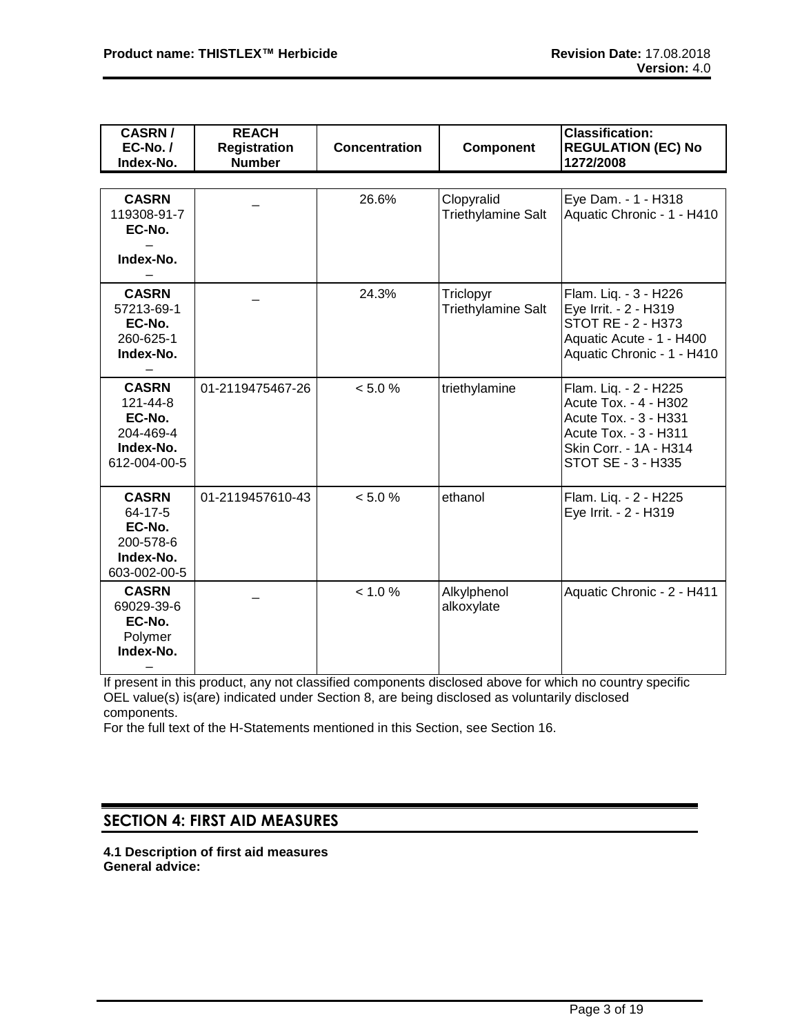| <b>CASRN/</b><br>$EC-No. /$<br>Index-No.                                     | <b>REACH</b><br><b>Registration</b><br><b>Number</b> | <b>Concentration</b> | Component                              | <b>Classification:</b><br><b>REGULATION (EC) No</b><br>1272/2008                                                                                 |
|------------------------------------------------------------------------------|------------------------------------------------------|----------------------|----------------------------------------|--------------------------------------------------------------------------------------------------------------------------------------------------|
|                                                                              |                                                      |                      |                                        |                                                                                                                                                  |
| <b>CASRN</b><br>119308-91-7<br>EC-No.<br>Index-No.                           |                                                      | 26.6%                | Clopyralid<br>Triethylamine Salt       | Eye Dam. - 1 - H318<br>Aquatic Chronic - 1 - H410                                                                                                |
| <b>CASRN</b><br>57213-69-1<br>EC-No.<br>260-625-1<br>Index-No.               |                                                      | 24.3%                | Triclopyr<br><b>Triethylamine Salt</b> | Flam. Liq. - 3 - H226<br>Eye Irrit. - 2 - H319<br>STOT RE - 2 - H373<br>Aquatic Acute - 1 - H400<br>Aquatic Chronic - 1 - H410                   |
| <b>CASRN</b><br>121-44-8<br>EC-No.<br>204-469-4<br>Index-No.<br>612-004-00-5 | 01-2119475467-26                                     | < 5.0 %              | triethylamine                          | Flam. Liq. - 2 - H225<br>Acute Tox. - 4 - H302<br>Acute Tox. - 3 - H331<br>Acute Tox. - 3 - H311<br>Skin Corr. - 1A - H314<br>STOT SE - 3 - H335 |
| <b>CASRN</b><br>64-17-5<br>EC-No.<br>200-578-6<br>Index-No.<br>603-002-00-5  | 01-2119457610-43                                     | < 5.0 %              | ethanol                                | Flam. Liq. - 2 - H225<br>Eye Irrit. - 2 - H319                                                                                                   |
| <b>CASRN</b><br>69029-39-6<br>EC-No.<br>Polymer<br>Index-No.                 |                                                      | < 1.0 %              | Alkylphenol<br>alkoxylate              | Aquatic Chronic - 2 - H411                                                                                                                       |

If present in this product, any not classified components disclosed above for which no country specific OEL value(s) is(are) indicated under Section 8, are being disclosed as voluntarily disclosed components.

For the full text of the H-Statements mentioned in this Section, see Section 16.

## **SECTION 4: FIRST AID MEASURES**

**4.1 Description of first aid measures General advice:**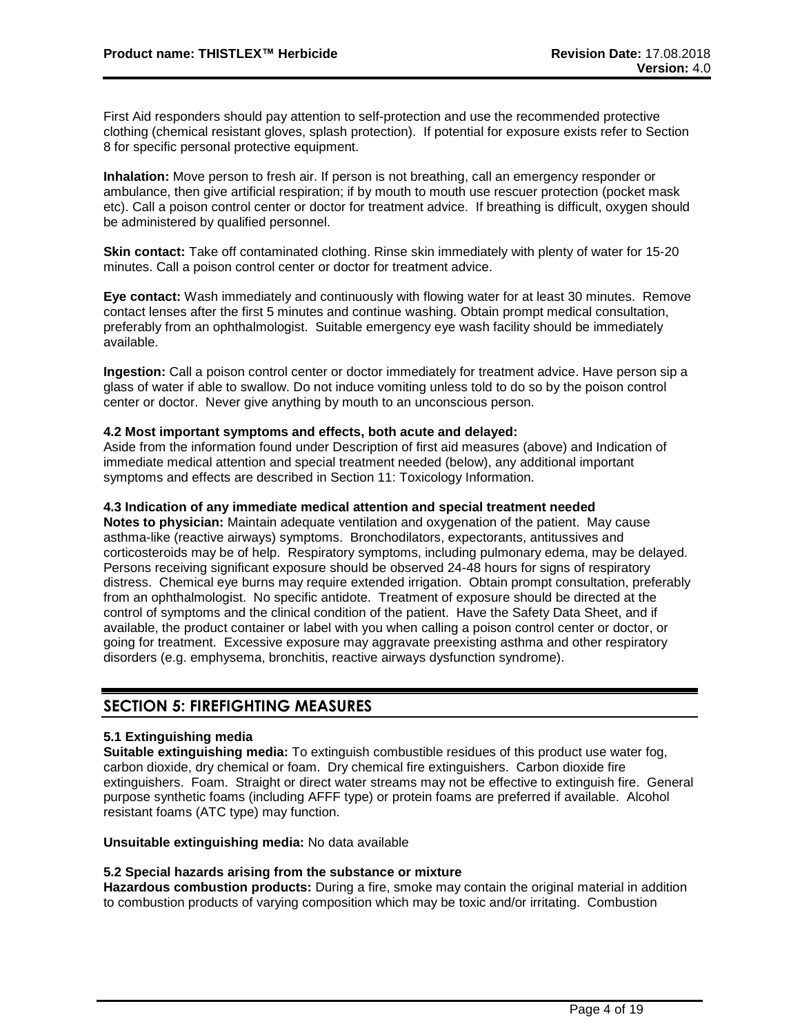First Aid responders should pay attention to self-protection and use the recommended protective clothing (chemical resistant gloves, splash protection). If potential for exposure exists refer to Section 8 for specific personal protective equipment.

**Inhalation:** Move person to fresh air. If person is not breathing, call an emergency responder or ambulance, then give artificial respiration; if by mouth to mouth use rescuer protection (pocket mask etc). Call a poison control center or doctor for treatment advice. If breathing is difficult, oxygen should be administered by qualified personnel.

**Skin contact:** Take off contaminated clothing. Rinse skin immediately with plenty of water for 15-20 minutes. Call a poison control center or doctor for treatment advice.

**Eye contact:** Wash immediately and continuously with flowing water for at least 30 minutes. Remove contact lenses after the first 5 minutes and continue washing. Obtain prompt medical consultation, preferably from an ophthalmologist. Suitable emergency eye wash facility should be immediately available.

**Ingestion:** Call a poison control center or doctor immediately for treatment advice. Have person sip a glass of water if able to swallow. Do not induce vomiting unless told to do so by the poison control center or doctor. Never give anything by mouth to an unconscious person.

#### **4.2 Most important symptoms and effects, both acute and delayed:**

Aside from the information found under Description of first aid measures (above) and Indication of immediate medical attention and special treatment needed (below), any additional important symptoms and effects are described in Section 11: Toxicology Information.

#### **4.3 Indication of any immediate medical attention and special treatment needed**

**Notes to physician:** Maintain adequate ventilation and oxygenation of the patient. May cause asthma-like (reactive airways) symptoms. Bronchodilators, expectorants, antitussives and corticosteroids may be of help. Respiratory symptoms, including pulmonary edema, may be delayed. Persons receiving significant exposure should be observed 24-48 hours for signs of respiratory distress. Chemical eye burns may require extended irrigation. Obtain prompt consultation, preferably from an ophthalmologist. No specific antidote. Treatment of exposure should be directed at the control of symptoms and the clinical condition of the patient. Have the Safety Data Sheet, and if available, the product container or label with you when calling a poison control center or doctor, or going for treatment. Excessive exposure may aggravate preexisting asthma and other respiratory disorders (e.g. emphysema, bronchitis, reactive airways dysfunction syndrome).

### **SECTION 5: FIREFIGHTING MEASURES**

#### **5.1 Extinguishing media**

**Suitable extinguishing media:** To extinguish combustible residues of this product use water fog, carbon dioxide, dry chemical or foam. Dry chemical fire extinguishers. Carbon dioxide fire extinguishers. Foam. Straight or direct water streams may not be effective to extinguish fire. General purpose synthetic foams (including AFFF type) or protein foams are preferred if available. Alcohol resistant foams (ATC type) may function.

**Unsuitable extinguishing media:** No data available

#### **5.2 Special hazards arising from the substance or mixture**

**Hazardous combustion products:** During a fire, smoke may contain the original material in addition to combustion products of varying composition which may be toxic and/or irritating. Combustion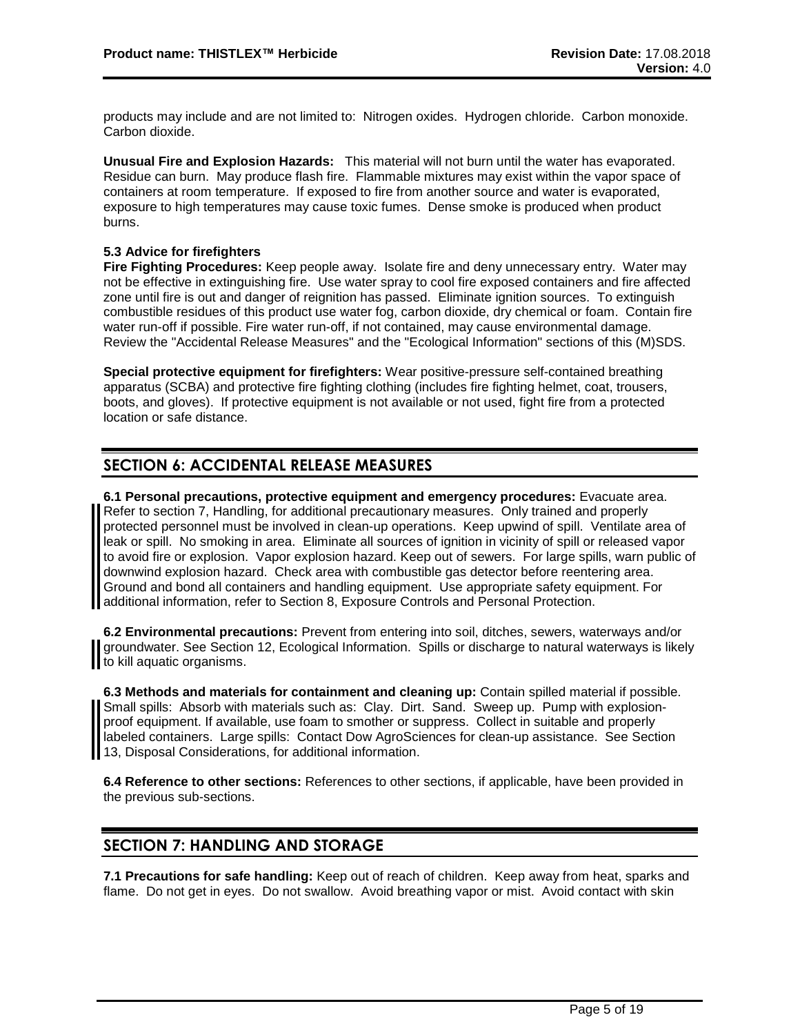products may include and are not limited to: Nitrogen oxides. Hydrogen chloride. Carbon monoxide. Carbon dioxide.

**Unusual Fire and Explosion Hazards:** This material will not burn until the water has evaporated. Residue can burn. May produce flash fire. Flammable mixtures may exist within the vapor space of containers at room temperature. If exposed to fire from another source and water is evaporated, exposure to high temperatures may cause toxic fumes. Dense smoke is produced when product burns.

#### **5.3 Advice for firefighters**

**Fire Fighting Procedures:** Keep people away. Isolate fire and deny unnecessary entry. Water may not be effective in extinguishing fire. Use water spray to cool fire exposed containers and fire affected zone until fire is out and danger of reignition has passed. Eliminate ignition sources. To extinguish combustible residues of this product use water fog, carbon dioxide, dry chemical or foam. Contain fire water run-off if possible. Fire water run-off, if not contained, may cause environmental damage. Review the "Accidental Release Measures" and the "Ecological Information" sections of this (M)SDS.

**Special protective equipment for firefighters:** Wear positive-pressure self-contained breathing apparatus (SCBA) and protective fire fighting clothing (includes fire fighting helmet, coat, trousers, boots, and gloves). If protective equipment is not available or not used, fight fire from a protected location or safe distance.

## **SECTION 6: ACCIDENTAL RELEASE MEASURES**

**6.1 Personal precautions, protective equipment and emergency procedures:** Evacuate area. Refer to section 7, Handling, for additional precautionary measures. Only trained and properly protected personnel must be involved in clean-up operations. Keep upwind of spill. Ventilate area of leak or spill. No smoking in area. Eliminate all sources of ignition in vicinity of spill or released vapor to avoid fire or explosion. Vapor explosion hazard. Keep out of sewers. For large spills, warn public of downwind explosion hazard. Check area with combustible gas detector before reentering area. Ground and bond all containers and handling equipment. Use appropriate safety equipment. For additional information, refer to Section 8, Exposure Controls and Personal Protection.

**6.2 Environmental precautions:** Prevent from entering into soil, ditches, sewers, waterways and/or groundwater. See Section 12, Ecological Information. Spills or discharge to natural waterways is likely to kill aquatic organisms.

**6.3 Methods and materials for containment and cleaning up:** Contain spilled material if possible. Small spills: Absorb with materials such as: Clay. Dirt. Sand. Sweep up. Pump with explosionproof equipment. If available, use foam to smother or suppress. Collect in suitable and properly labeled containers. Large spills: Contact Dow AgroSciences for clean-up assistance. See Section 13, Disposal Considerations, for additional information.

**6.4 Reference to other sections:** References to other sections, if applicable, have been provided in the previous sub-sections.

## **SECTION 7: HANDLING AND STORAGE**

**7.1 Precautions for safe handling:** Keep out of reach of children. Keep away from heat, sparks and flame. Do not get in eyes. Do not swallow. Avoid breathing vapor or mist. Avoid contact with skin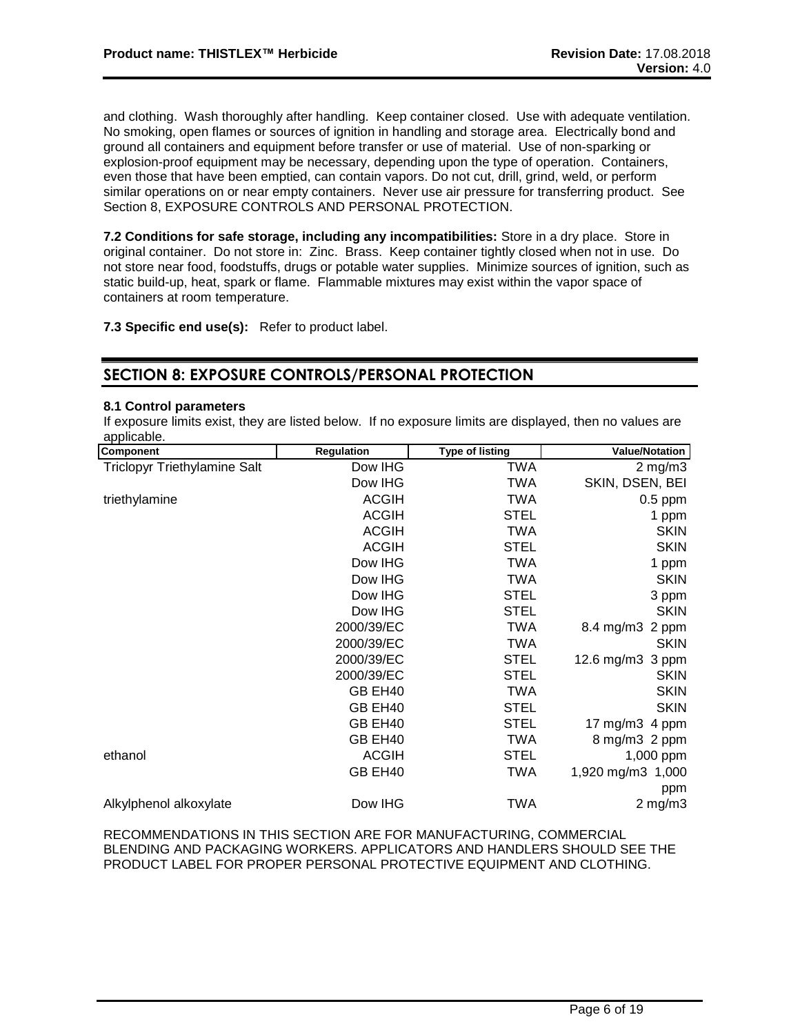and clothing. Wash thoroughly after handling. Keep container closed. Use with adequate ventilation. No smoking, open flames or sources of ignition in handling and storage area. Electrically bond and ground all containers and equipment before transfer or use of material. Use of non-sparking or explosion-proof equipment may be necessary, depending upon the type of operation. Containers, even those that have been emptied, can contain vapors. Do not cut, drill, grind, weld, or perform similar operations on or near empty containers. Never use air pressure for transferring product. See Section 8, EXPOSURE CONTROLS AND PERSONAL PROTECTION.

**7.2 Conditions for safe storage, including any incompatibilities:** Store in a dry place. Store in original container. Do not store in: Zinc. Brass. Keep container tightly closed when not in use. Do not store near food, foodstuffs, drugs or potable water supplies. Minimize sources of ignition, such as static build-up, heat, spark or flame. Flammable mixtures may exist within the vapor space of containers at room temperature.

**7.3 Specific end use(s):** Refer to product label.

## **SECTION 8: EXPOSURE CONTROLS/PERSONAL PROTECTION**

#### **8.1 Control parameters**

If exposure limits exist, they are listed below. If no exposure limits are displayed, then no values are applicable.

| <b>Regulation</b> | <b>Type of listing</b> | <b>Value/Notation</b> |
|-------------------|------------------------|-----------------------|
| Dow IHG           | <b>TWA</b>             | $2$ mg/m $3$          |
| Dow IHG           | TWA                    | SKIN, DSEN, BEI       |
| <b>ACGIH</b>      | TWA                    | $0.5$ ppm             |
| <b>ACGIH</b>      | <b>STEL</b>            | 1 ppm                 |
| <b>ACGIH</b>      | <b>TWA</b>             | <b>SKIN</b>           |
| <b>ACGIH</b>      | <b>STEL</b>            | <b>SKIN</b>           |
| Dow IHG           | <b>TWA</b>             | 1 ppm                 |
| Dow IHG           | TWA                    | <b>SKIN</b>           |
| Dow IHG           | <b>STEL</b>            | 3 ppm                 |
| Dow IHG           | <b>STEL</b>            | <b>SKIN</b>           |
| 2000/39/EC        | <b>TWA</b>             | 8.4 mg/m3 2 ppm       |
| 2000/39/EC        | TWA                    | <b>SKIN</b>           |
| 2000/39/EC        | <b>STEL</b>            | 12.6 mg/m3 3 ppm      |
| 2000/39/EC        | <b>STEL</b>            | <b>SKIN</b>           |
| GB EH40           | <b>TWA</b>             | <b>SKIN</b>           |
| GB EH40           | <b>STEL</b>            | <b>SKIN</b>           |
| GB EH40           | <b>STEL</b>            | 17 mg/m $3$ 4 ppm     |
| GB EH40           | TWA                    | 8 mg/m3 2 ppm         |
| <b>ACGIH</b>      | <b>STEL</b>            | 1,000 ppm             |
| GB EH40           | <b>TWA</b>             | 1,920 mg/m3 1,000     |
|                   |                        | ppm                   |
| Dow IHG           | <b>TWA</b>             | $2$ mg/m $3$          |
|                   |                        |                       |

RECOMMENDATIONS IN THIS SECTION ARE FOR MANUFACTURING, COMMERCIAL BLENDING AND PACKAGING WORKERS. APPLICATORS AND HANDLERS SHOULD SEE THE PRODUCT LABEL FOR PROPER PERSONAL PROTECTIVE EQUIPMENT AND CLOTHING.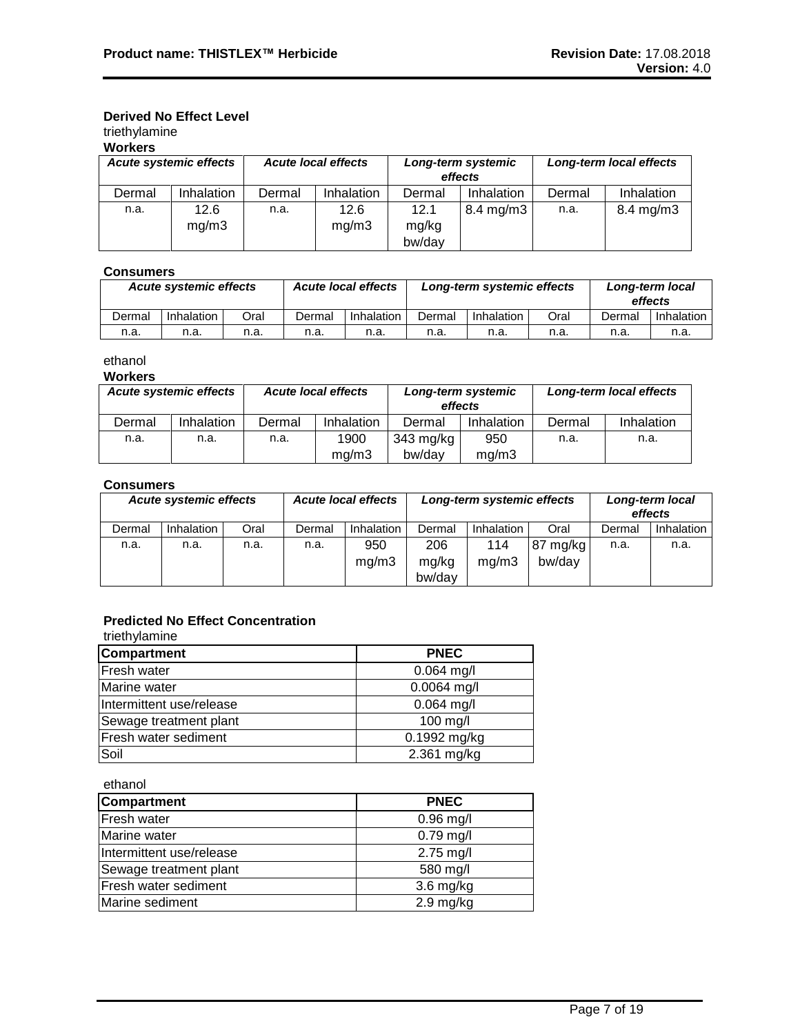## **Derived No Effect Level**

## triethylamine

|  | Workeı |  |
|--|--------|--|
|  |        |  |

| .                                                           |                   |        |                               |               |                         |        |                      |
|-------------------------------------------------------------|-------------------|--------|-------------------------------|---------------|-------------------------|--------|----------------------|
| <b>Acute systemic effects</b><br><b>Acute local effects</b> |                   |        | Long-term systemic<br>effects |               | Long-term local effects |        |                      |
| Dermal                                                      | <b>Inhalation</b> | Dermal | Inhalation                    | Dermal        | Inhalation              | Dermal | Inhalation           |
| n.a.                                                        | 12.6<br>mq/m3     | n.a.   | 12.6<br>mq/m3                 | 12.1<br>mg/kg | $8.4 \text{ mg/m}$ 3    | n.a.   | $8.4 \text{ mg/m}$ 3 |
|                                                             |                   |        |                               | bw/day        |                         |        |                      |

### **Consumers**

|        | <b>Acute systemic effects</b> |      | <b>Acute local effects</b> |            | Long-term systemic effects |            |      | Long-term local<br>effects |            |
|--------|-------------------------------|------|----------------------------|------------|----------------------------|------------|------|----------------------------|------------|
| Dermal | Inhalation                    | Oral | Dermal                     | Inhalation | Dermal                     | Inhalation | Oral | Dermal                     | Inhalation |
| n.a.   | n.a.                          | n.a. | n.a.                       | n.a.       | n.a.                       | n.a.       | n.a. | n.a.                       | n.a.       |

ethanol

**Workers**

| <b>Acute local effects</b><br><b>Acute systemic effects</b> |            | Long-term systemic<br>effects |            |           | Long-term local effects |        |            |
|-------------------------------------------------------------|------------|-------------------------------|------------|-----------|-------------------------|--------|------------|
| Dermal                                                      | Inhalation | Dermal                        | Inhalation | Dermal    | Inhalation              | Dermal | Inhalation |
| n.a.                                                        | n.a.       | n.a.                          | 1900       | 343 mg/kg | 950                     | n.a.   | n.a.       |
|                                                             |            |                               | ma/m3      | bw/dav    | mq/m3                   |        |            |

### **Consumers**

| <b>Acute local effects</b><br><b>Acute systemic effects</b> |            |      | Long-term systemic effects |                   |                 | Long-term local<br>effects |                    |        |              |
|-------------------------------------------------------------|------------|------|----------------------------|-------------------|-----------------|----------------------------|--------------------|--------|--------------|
| Dermal                                                      | Inhalation | Oral | Dermal                     | <b>Inhalation</b> | Dermal          | Inhalation                 | Oral               | Dermal | Inhalation I |
| n.a.                                                        | n.a.       | n.a. | n.a.                       | 950               | 206             | 114<br>mg/m3               | 87 mg/kg<br>bw/dav | n.a.   | n.a.         |
|                                                             |            |      |                            | mq/m3             | mg/kg<br>bw/day |                            |                    |        |              |

## **Predicted No Effect Concentration**

| triethylamine            |               |
|--------------------------|---------------|
| <b>Compartment</b>       | <b>PNEC</b>   |
| <b>Fresh water</b>       | $0.064$ mg/l  |
| Marine water             | $0.0064$ mg/l |
| Intermittent use/release | $0.064$ mg/l  |
| Sewage treatment plant   | 100 mg/l      |
| Fresh water sediment     | 0.1992 mg/kg  |
| Soil                     | 2.361 mg/kg   |

ethanol

| <b>Compartment</b>       | <b>PNEC</b>         |
|--------------------------|---------------------|
| Fresh water              | $0.96$ mg/l         |
| Marine water             | $0.79$ mg/l         |
| Intermittent use/release | 2.75 mg/l           |
| Sewage treatment plant   | 580 mg/l            |
| Fresh water sediment     | $3.6$ mg/kg         |
| Marine sediment          | $2.9 \text{ mg/kg}$ |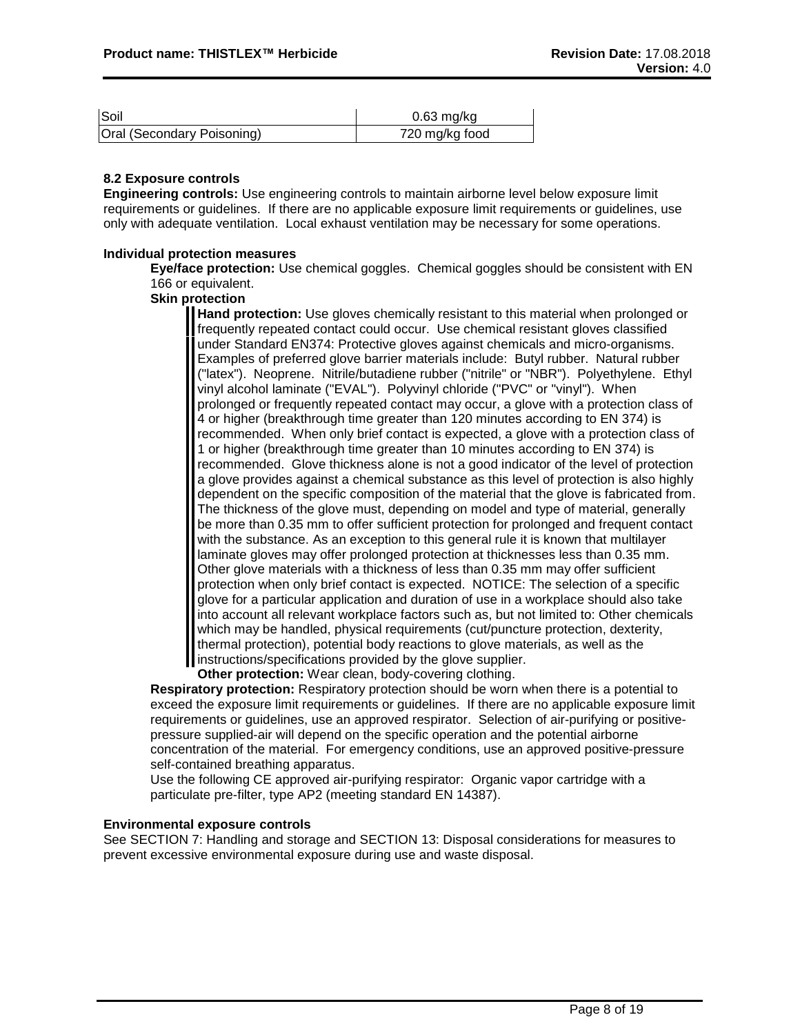| Soil                       | $0.63$ mg/kg   |
|----------------------------|----------------|
| Oral (Secondary Poisoning) | 720 mg/kg food |

#### **8.2 Exposure controls**

**Engineering controls:** Use engineering controls to maintain airborne level below exposure limit requirements or guidelines. If there are no applicable exposure limit requirements or guidelines, use only with adequate ventilation. Local exhaust ventilation may be necessary for some operations.

#### **Individual protection measures**

**Eye/face protection:** Use chemical goggles. Chemical goggles should be consistent with EN 166 or equivalent.

**Skin protection**

**Hand protection:** Use gloves chemically resistant to this material when prolonged or frequently repeated contact could occur. Use chemical resistant gloves classified under Standard EN374: Protective gloves against chemicals and micro-organisms. Examples of preferred glove barrier materials include: Butyl rubber. Natural rubber ("latex"). Neoprene. Nitrile/butadiene rubber ("nitrile" or "NBR"). Polyethylene. Ethyl vinyl alcohol laminate ("EVAL"). Polyvinyl chloride ("PVC" or "vinyl"). When prolonged or frequently repeated contact may occur, a glove with a protection class of 4 or higher (breakthrough time greater than 120 minutes according to EN 374) is recommended. When only brief contact is expected, a glove with a protection class of 1 or higher (breakthrough time greater than 10 minutes according to EN 374) is recommended. Glove thickness alone is not a good indicator of the level of protection a glove provides against a chemical substance as this level of protection is also highly dependent on the specific composition of the material that the glove is fabricated from. The thickness of the glove must, depending on model and type of material, generally be more than 0.35 mm to offer sufficient protection for prolonged and frequent contact with the substance. As an exception to this general rule it is known that multilayer laminate gloves may offer prolonged protection at thicknesses less than 0.35 mm. Other glove materials with a thickness of less than 0.35 mm may offer sufficient protection when only brief contact is expected. NOTICE: The selection of a specific glove for a particular application and duration of use in a workplace should also take into account all relevant workplace factors such as, but not limited to: Other chemicals which may be handled, physical requirements (cut/puncture protection, dexterity, thermal protection), potential body reactions to glove materials, as well as the instructions/specifications provided by the glove supplier.

**Other protection:** Wear clean, body-covering clothing.

**Respiratory protection:** Respiratory protection should be worn when there is a potential to exceed the exposure limit requirements or guidelines. If there are no applicable exposure limit requirements or guidelines, use an approved respirator. Selection of air-purifying or positivepressure supplied-air will depend on the specific operation and the potential airborne concentration of the material. For emergency conditions, use an approved positive-pressure self-contained breathing apparatus.

Use the following CE approved air-purifying respirator: Organic vapor cartridge with a particulate pre-filter, type AP2 (meeting standard EN 14387).

#### **Environmental exposure controls**

See SECTION 7: Handling and storage and SECTION 13: Disposal considerations for measures to prevent excessive environmental exposure during use and waste disposal.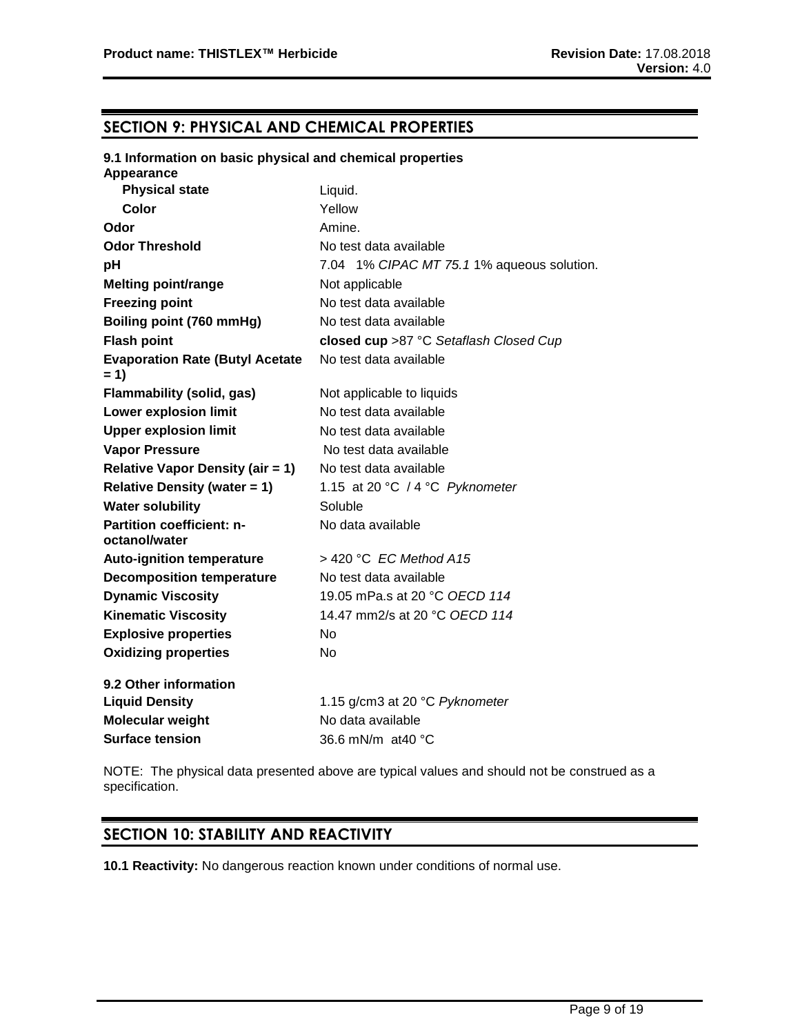## **SECTION 9: PHYSICAL AND CHEMICAL PROPERTIES**

#### **9.1 Information on basic physical and chemical properties Appearance**

| Appearance                                      |                                            |
|-------------------------------------------------|--------------------------------------------|
| <b>Physical state</b>                           | Liquid.                                    |
| Color                                           | Yellow                                     |
| Odor                                            | Amine.                                     |
| <b>Odor Threshold</b>                           | No test data available                     |
| рH                                              | 7.04 1% CIPAC MT 75.1 1% aqueous solution. |
| <b>Melting point/range</b>                      | Not applicable                             |
| <b>Freezing point</b>                           | No test data available                     |
| Boiling point (760 mmHg)                        | No test data available                     |
| <b>Flash point</b>                              | closed cup >87 °C Setaflash Closed Cup     |
| <b>Evaporation Rate (Butyl Acetate</b><br>$= 1$ | No test data available                     |
| <b>Flammability (solid, gas)</b>                | Not applicable to liquids                  |
| <b>Lower explosion limit</b>                    | No test data available                     |
| <b>Upper explosion limit</b>                    | No test data available                     |
| <b>Vapor Pressure</b>                           | No test data available                     |
| <b>Relative Vapor Density (air = 1)</b>         | No test data available                     |
| <b>Relative Density (water = 1)</b>             | 1.15 at 20 °C / 4 °C Pyknometer            |
| <b>Water solubility</b>                         | Soluble                                    |
| Partition coefficient: n-<br>octanol/water      | No data available                          |
| <b>Auto-ignition temperature</b>                | $>$ 420 °C EC Method A15                   |
| <b>Decomposition temperature</b>                | No test data available                     |
| <b>Dynamic Viscosity</b>                        | 19.05 mPa.s at 20 °C OECD 114              |
| <b>Kinematic Viscosity</b>                      | 14.47 mm2/s at 20 °C OECD 114              |
| <b>Explosive properties</b>                     | N <sub>o</sub>                             |
| <b>Oxidizing properties</b>                     | <b>No</b>                                  |
| 9.2 Other information                           |                                            |
| <b>Liquid Density</b>                           | 1.15 g/cm3 at 20 °C Pyknometer             |
| Molecular weight                                | No data available                          |
| <b>Surface tension</b>                          | 36.6 mN/m at40 °C                          |
|                                                 |                                            |

NOTE: The physical data presented above are typical values and should not be construed as a specification.

## **SECTION 10: STABILITY AND REACTIVITY**

**10.1 Reactivity:** No dangerous reaction known under conditions of normal use.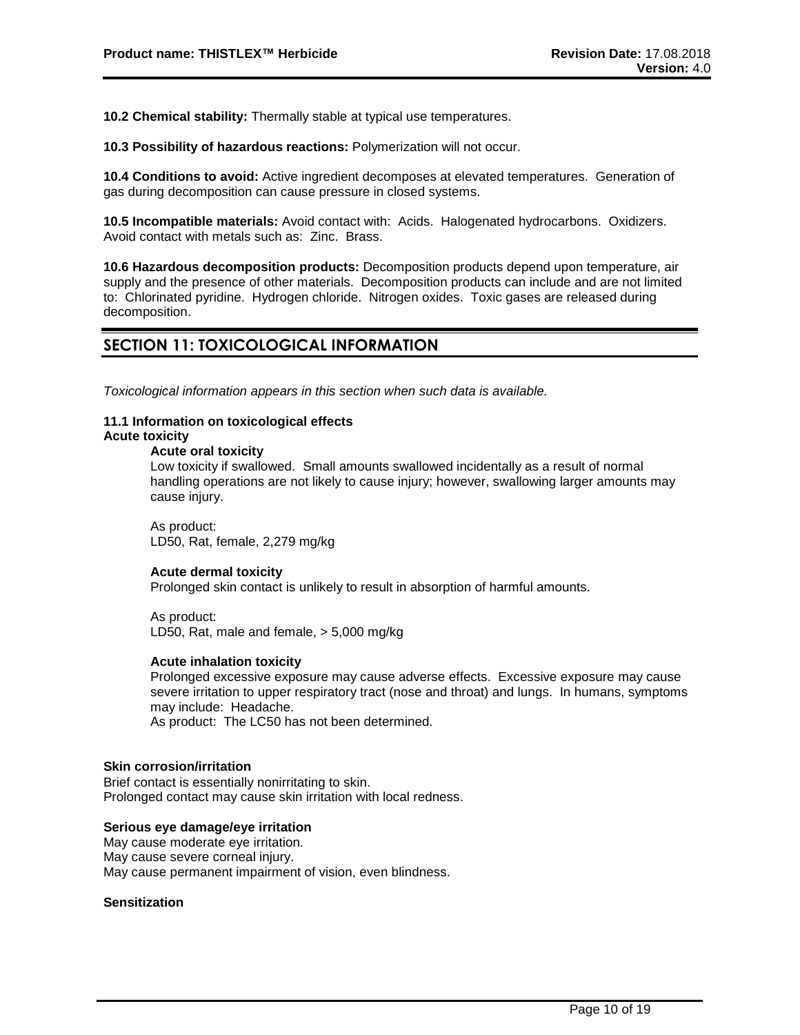**10.2 Chemical stability:** Thermally stable at typical use temperatures.

**10.3 Possibility of hazardous reactions:** Polymerization will not occur.

**10.4 Conditions to avoid:** Active ingredient decomposes at elevated temperatures. Generation of gas during decomposition can cause pressure in closed systems.

**10.5 Incompatible materials:** Avoid contact with: Acids. Halogenated hydrocarbons. Oxidizers. Avoid contact with metals such as: Zinc. Brass.

**10.6 Hazardous decomposition products:** Decomposition products depend upon temperature, air supply and the presence of other materials. Decomposition products can include and are not limited to: Chlorinated pyridine. Hydrogen chloride. Nitrogen oxides. Toxic gases are released during decomposition.

## **SECTION 11: TOXICOLOGICAL INFORMATION**

*Toxicological information appears in this section when such data is available.*

#### **11.1 Information on toxicological effects Acute toxicity**

#### **Acute oral toxicity**

Low toxicity if swallowed. Small amounts swallowed incidentally as a result of normal handling operations are not likely to cause injury; however, swallowing larger amounts may cause injury.

As product: LD50, Rat, female, 2,279 mg/kg

#### **Acute dermal toxicity**

Prolonged skin contact is unlikely to result in absorption of harmful amounts.

As product: LD50, Rat, male and female, > 5,000 mg/kg

#### **Acute inhalation toxicity**

Prolonged excessive exposure may cause adverse effects. Excessive exposure may cause severe irritation to upper respiratory tract (nose and throat) and lungs. In humans, symptoms may include: Headache.

As product: The LC50 has not been determined.

#### **Skin corrosion/irritation**

Brief contact is essentially nonirritating to skin. Prolonged contact may cause skin irritation with local redness.

#### **Serious eye damage/eye irritation**

May cause moderate eye irritation. May cause severe corneal injury. May cause permanent impairment of vision, even blindness.

#### **Sensitization**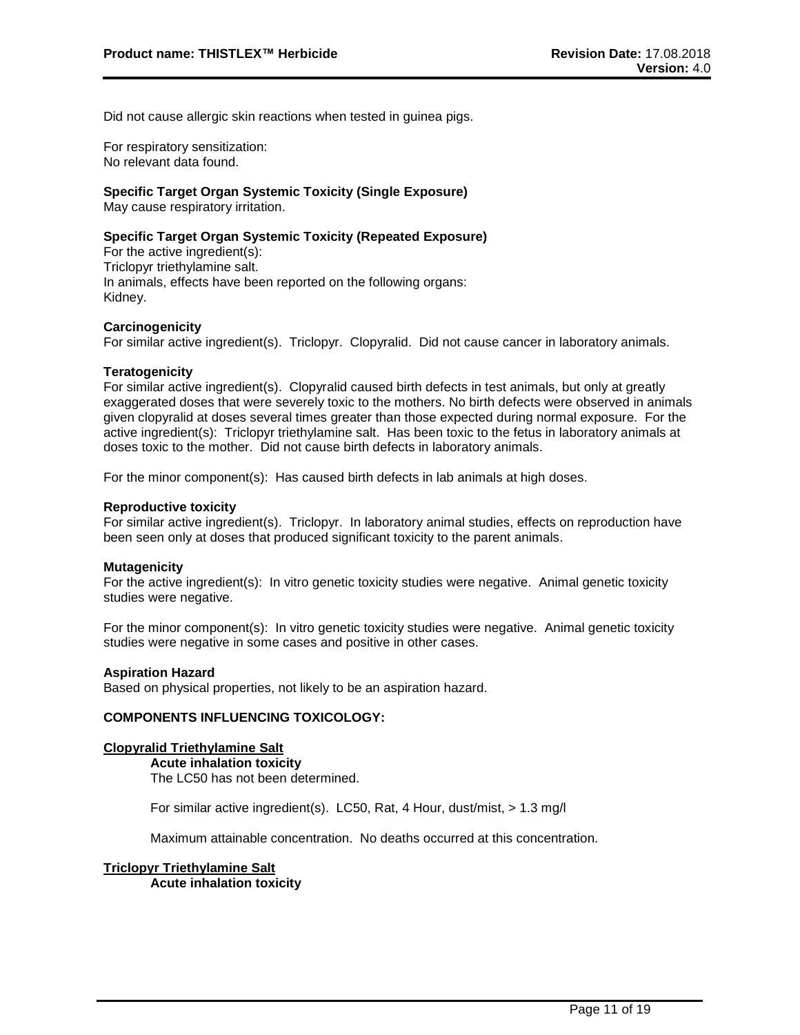Did not cause allergic skin reactions when tested in guinea pigs.

For respiratory sensitization: No relevant data found.

#### **Specific Target Organ Systemic Toxicity (Single Exposure)**

May cause respiratory irritation.

#### **Specific Target Organ Systemic Toxicity (Repeated Exposure)**

For the active ingredient(s): Triclopyr triethylamine salt. In animals, effects have been reported on the following organs: Kidney.

#### **Carcinogenicity**

For similar active ingredient(s). Triclopyr. Clopyralid. Did not cause cancer in laboratory animals.

#### **Teratogenicity**

For similar active ingredient(s). Clopyralid caused birth defects in test animals, but only at greatly exaggerated doses that were severely toxic to the mothers. No birth defects were observed in animals given clopyralid at doses several times greater than those expected during normal exposure. For the active ingredient(s): Triclopyr triethylamine salt. Has been toxic to the fetus in laboratory animals at doses toxic to the mother. Did not cause birth defects in laboratory animals.

For the minor component(s): Has caused birth defects in lab animals at high doses.

#### **Reproductive toxicity**

For similar active ingredient(s). Triclopyr. In laboratory animal studies, effects on reproduction have been seen only at doses that produced significant toxicity to the parent animals.

#### **Mutagenicity**

For the active ingredient(s): In vitro genetic toxicity studies were negative. Animal genetic toxicity studies were negative.

For the minor component(s): In vitro genetic toxicity studies were negative. Animal genetic toxicity studies were negative in some cases and positive in other cases.

#### **Aspiration Hazard**

Based on physical properties, not likely to be an aspiration hazard.

#### **COMPONENTS INFLUENCING TOXICOLOGY:**

#### **Clopyralid Triethylamine Salt**

**Acute inhalation toxicity** The LC50 has not been determined.

For similar active ingredient(s). LC50, Rat, 4 Hour, dust/mist, > 1.3 mg/l

Maximum attainable concentration. No deaths occurred at this concentration.

### **Triclopyr Triethylamine Salt Acute inhalation toxicity**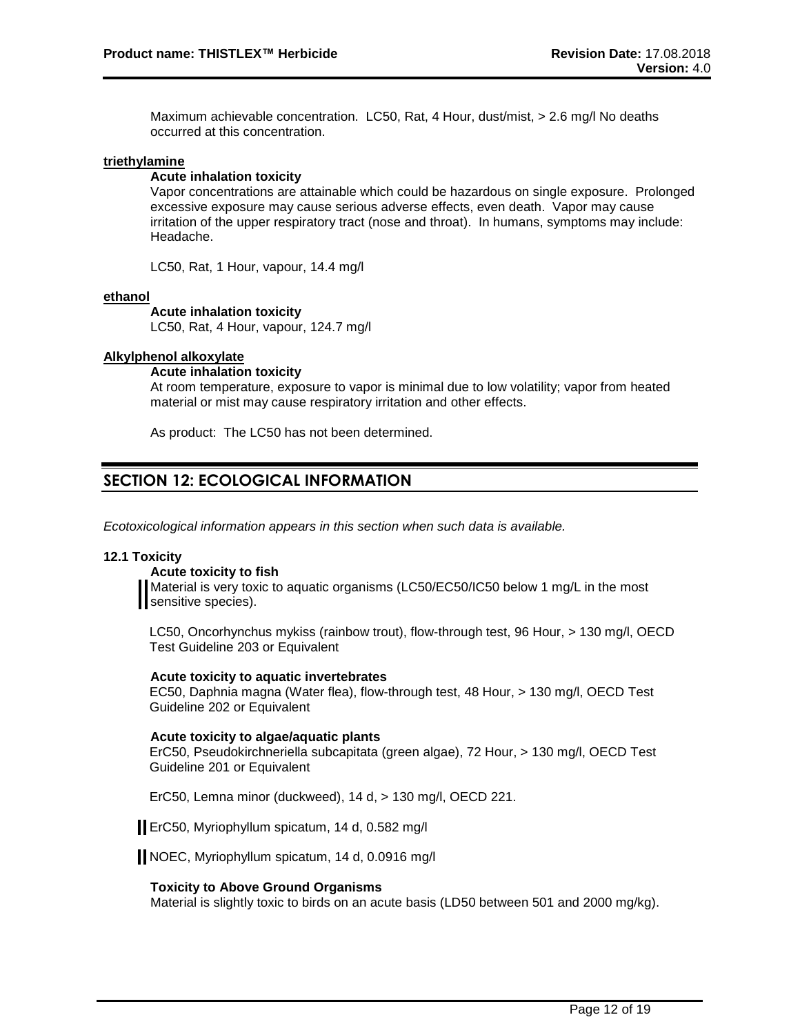Maximum achievable concentration. LC50, Rat, 4 Hour, dust/mist, > 2.6 mg/l No deaths occurred at this concentration.

#### **triethylamine**

#### **Acute inhalation toxicity**

Vapor concentrations are attainable which could be hazardous on single exposure. Prolonged excessive exposure may cause serious adverse effects, even death. Vapor may cause irritation of the upper respiratory tract (nose and throat). In humans, symptoms may include: Headache.

LC50, Rat, 1 Hour, vapour, 14.4 mg/l

#### **ethanol**

#### **Acute inhalation toxicity**

LC50, Rat, 4 Hour, vapour, 124.7 mg/l

#### **Alkylphenol alkoxylate**

#### **Acute inhalation toxicity**

At room temperature, exposure to vapor is minimal due to low volatility; vapor from heated material or mist may cause respiratory irritation and other effects.

As product: The LC50 has not been determined.

## **SECTION 12: ECOLOGICAL INFORMATION**

*Ecotoxicological information appears in this section when such data is available.*

#### **12.1 Toxicity**

#### **Acute toxicity to fish**

Material is very toxic to aquatic organisms (LC50/EC50/IC50 below 1 mg/L in the most Sensitive species).

LC50, Oncorhynchus mykiss (rainbow trout), flow-through test, 96 Hour, > 130 mg/l, OECD Test Guideline 203 or Equivalent

#### **Acute toxicity to aquatic invertebrates**

EC50, Daphnia magna (Water flea), flow-through test, 48 Hour, > 130 mg/l, OECD Test Guideline 202 or Equivalent

#### **Acute toxicity to algae/aquatic plants**

ErC50, Pseudokirchneriella subcapitata (green algae), 72 Hour, > 130 mg/l, OECD Test Guideline 201 or Equivalent

ErC50, Lemna minor (duckweed), 14 d, > 130 mg/l, OECD 221.

ErC50, Myriophyllum spicatum, 14 d, 0.582 mg/l

NOEC, Myriophyllum spicatum, 14 d, 0.0916 mg/l

#### **Toxicity to Above Ground Organisms**

Material is slightly toxic to birds on an acute basis (LD50 between 501 and 2000 mg/kg).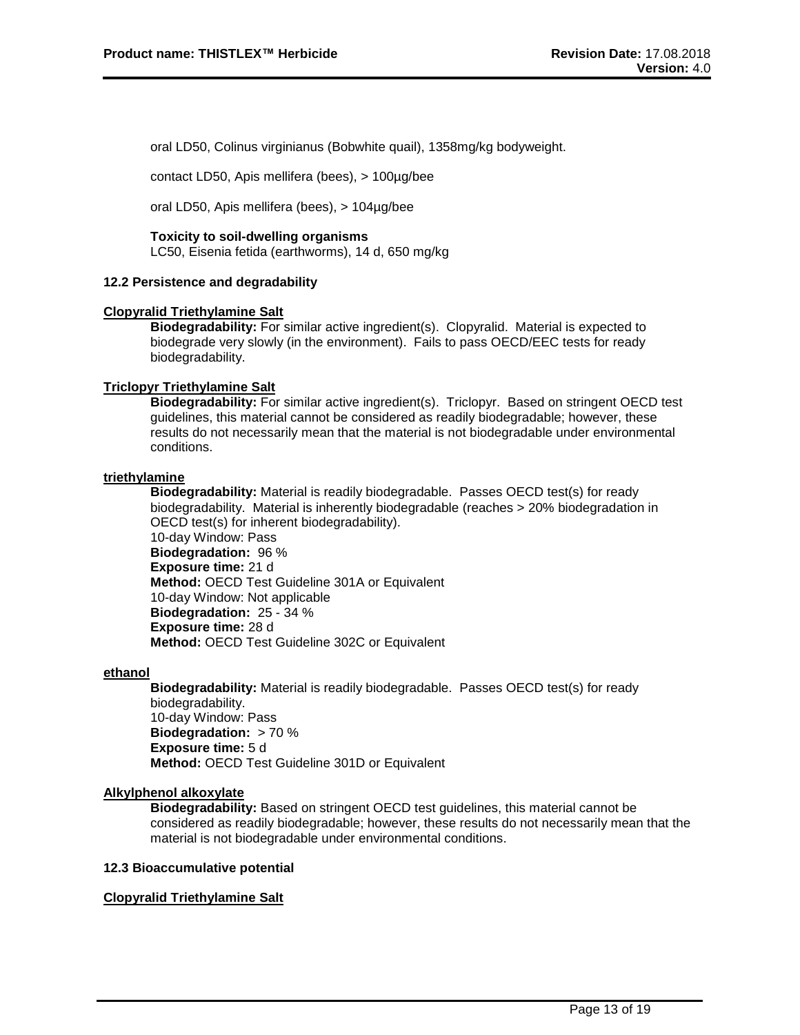oral LD50, Colinus virginianus (Bobwhite quail), 1358mg/kg bodyweight.

contact LD50, Apis mellifera (bees), > 100µg/bee

oral LD50, Apis mellifera (bees), > 104µg/bee

#### **Toxicity to soil-dwelling organisms**

LC50, Eisenia fetida (earthworms), 14 d, 650 mg/kg

#### **12.2 Persistence and degradability**

#### **Clopyralid Triethylamine Salt**

**Biodegradability:** For similar active ingredient(s). Clopyralid. Material is expected to biodegrade very slowly (in the environment). Fails to pass OECD/EEC tests for ready biodegradability.

#### **Triclopyr Triethylamine Salt**

**Biodegradability:** For similar active ingredient(s). Triclopyr. Based on stringent OECD test guidelines, this material cannot be considered as readily biodegradable; however, these results do not necessarily mean that the material is not biodegradable under environmental conditions.

#### **triethylamine**

**Biodegradability:** Material is readily biodegradable. Passes OECD test(s) for ready biodegradability. Material is inherently biodegradable (reaches > 20% biodegradation in OECD test(s) for inherent biodegradability). 10-day Window: Pass

**Biodegradation:** 96 % **Exposure time:** 21 d **Method:** OECD Test Guideline 301A or Equivalent 10-day Window: Not applicable **Biodegradation:** 25 - 34 % **Exposure time:** 28 d **Method:** OECD Test Guideline 302C or Equivalent

#### **ethanol**

**Biodegradability:** Material is readily biodegradable. Passes OECD test(s) for ready biodegradability. 10-day Window: Pass **Biodegradation:** > 70 % **Exposure time:** 5 d **Method:** OECD Test Guideline 301D or Equivalent

#### **Alkylphenol alkoxylate**

**Biodegradability:** Based on stringent OECD test guidelines, this material cannot be considered as readily biodegradable; however, these results do not necessarily mean that the material is not biodegradable under environmental conditions.

#### **12.3 Bioaccumulative potential**

#### **Clopyralid Triethylamine Salt**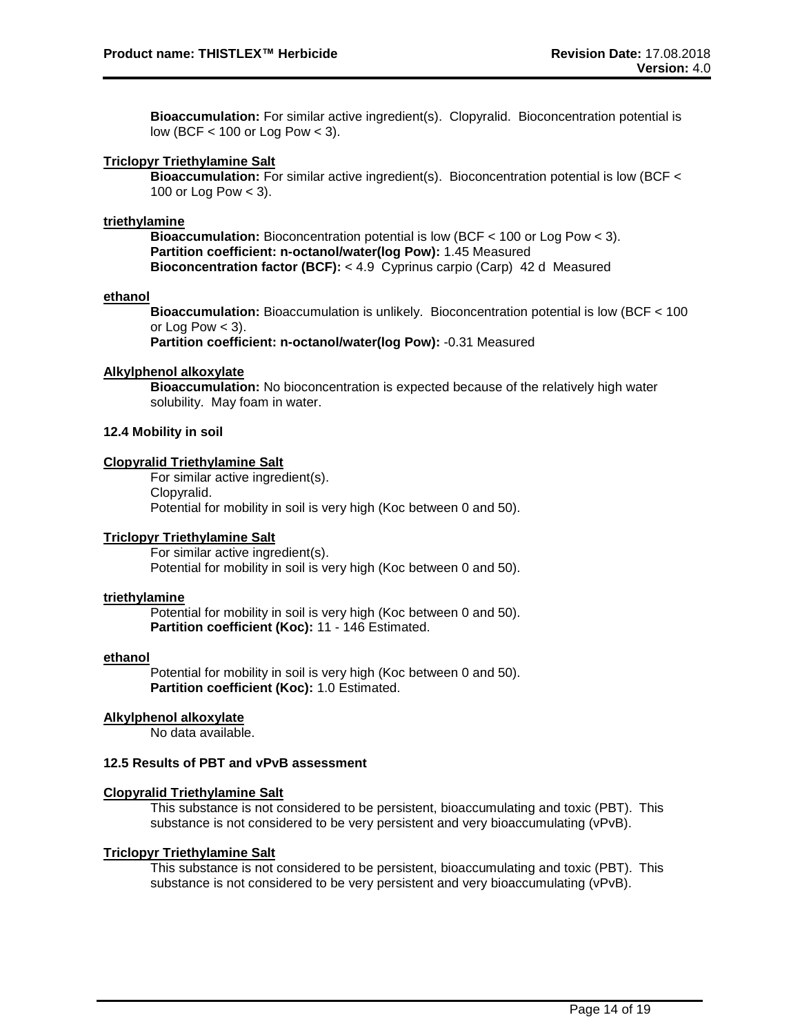**Bioaccumulation:** For similar active ingredient(s). Clopyralid. Bioconcentration potential is low (BCF < 100 or Log Pow < 3).

#### **Triclopyr Triethylamine Salt**

**Bioaccumulation:** For similar active ingredient(s). Bioconcentration potential is low (BCF < 100 or Log Pow < 3).

#### **triethylamine**

**Bioaccumulation:** Bioconcentration potential is low (BCF < 100 or Log Pow < 3). **Partition coefficient: n-octanol/water(log Pow):** 1.45 Measured **Bioconcentration factor (BCF):** < 4.9 Cyprinus carpio (Carp) 42 d Measured

#### **ethanol**

**Bioaccumulation:** Bioaccumulation is unlikely. Bioconcentration potential is low (BCF < 100 or Log Pow  $<$  3).

**Partition coefficient: n-octanol/water(log Pow):** -0.31 Measured

#### **Alkylphenol alkoxylate**

**Bioaccumulation:** No bioconcentration is expected because of the relatively high water solubility. May foam in water.

#### **12.4 Mobility in soil**

#### **Clopyralid Triethylamine Salt**

For similar active ingredient(s). Clopyralid. Potential for mobility in soil is very high (Koc between 0 and 50).

#### **Triclopyr Triethylamine Salt**

For similar active ingredient(s). Potential for mobility in soil is very high (Koc between 0 and 50).

#### **triethylamine**

Potential for mobility in soil is very high (Koc between 0 and 50). **Partition coefficient (Koc):** 11 - 146 Estimated.

#### **ethanol**

Potential for mobility in soil is very high (Koc between 0 and 50). **Partition coefficient (Koc):** 1.0 Estimated.

#### **Alkylphenol alkoxylate**

No data available.

#### **12.5 Results of PBT and vPvB assessment**

#### **Clopyralid Triethylamine Salt**

This substance is not considered to be persistent, bioaccumulating and toxic (PBT). This substance is not considered to be very persistent and very bioaccumulating (vPvB).

#### **Triclopyr Triethylamine Salt**

This substance is not considered to be persistent, bioaccumulating and toxic (PBT). This substance is not considered to be very persistent and very bioaccumulating (vPvB).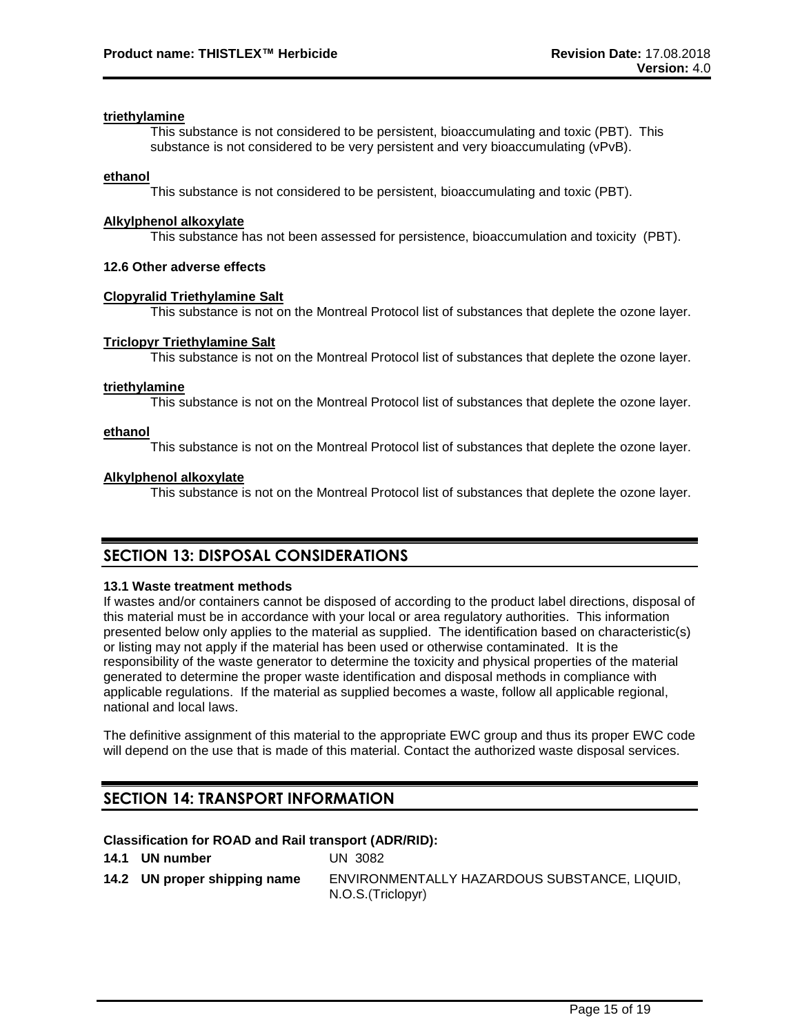#### **triethylamine**

This substance is not considered to be persistent, bioaccumulating and toxic (PBT). This substance is not considered to be very persistent and very bioaccumulating (vPvB).

#### **ethanol**

This substance is not considered to be persistent, bioaccumulating and toxic (PBT).

#### **Alkylphenol alkoxylate**

This substance has not been assessed for persistence, bioaccumulation and toxicity (PBT).

#### **12.6 Other adverse effects**

#### **Clopyralid Triethylamine Salt**

This substance is not on the Montreal Protocol list of substances that deplete the ozone layer.

#### **Triclopyr Triethylamine Salt**

This substance is not on the Montreal Protocol list of substances that deplete the ozone layer.

#### **triethylamine**

This substance is not on the Montreal Protocol list of substances that deplete the ozone layer.

#### **ethanol**

This substance is not on the Montreal Protocol list of substances that deplete the ozone layer.

#### **Alkylphenol alkoxylate**

This substance is not on the Montreal Protocol list of substances that deplete the ozone layer.

## **SECTION 13: DISPOSAL CONSIDERATIONS**

#### **13.1 Waste treatment methods**

If wastes and/or containers cannot be disposed of according to the product label directions, disposal of this material must be in accordance with your local or area regulatory authorities. This information presented below only applies to the material as supplied. The identification based on characteristic(s) or listing may not apply if the material has been used or otherwise contaminated. It is the responsibility of the waste generator to determine the toxicity and physical properties of the material generated to determine the proper waste identification and disposal methods in compliance with applicable regulations. If the material as supplied becomes a waste, follow all applicable regional, national and local laws.

The definitive assignment of this material to the appropriate EWC group and thus its proper EWC code will depend on the use that is made of this material. Contact the authorized waste disposal services.

## **SECTION 14: TRANSPORT INFORMATION**

#### **Classification for ROAD and Rail transport (ADR/RID):**

| 14.1 UN number               | UN 3082                                                            |
|------------------------------|--------------------------------------------------------------------|
| 14.2 UN proper shipping name | ENVIRONMENTALLY HAZARDOUS SUBSTANCE, LIQUID.<br>N.O.S. (Triclopyr) |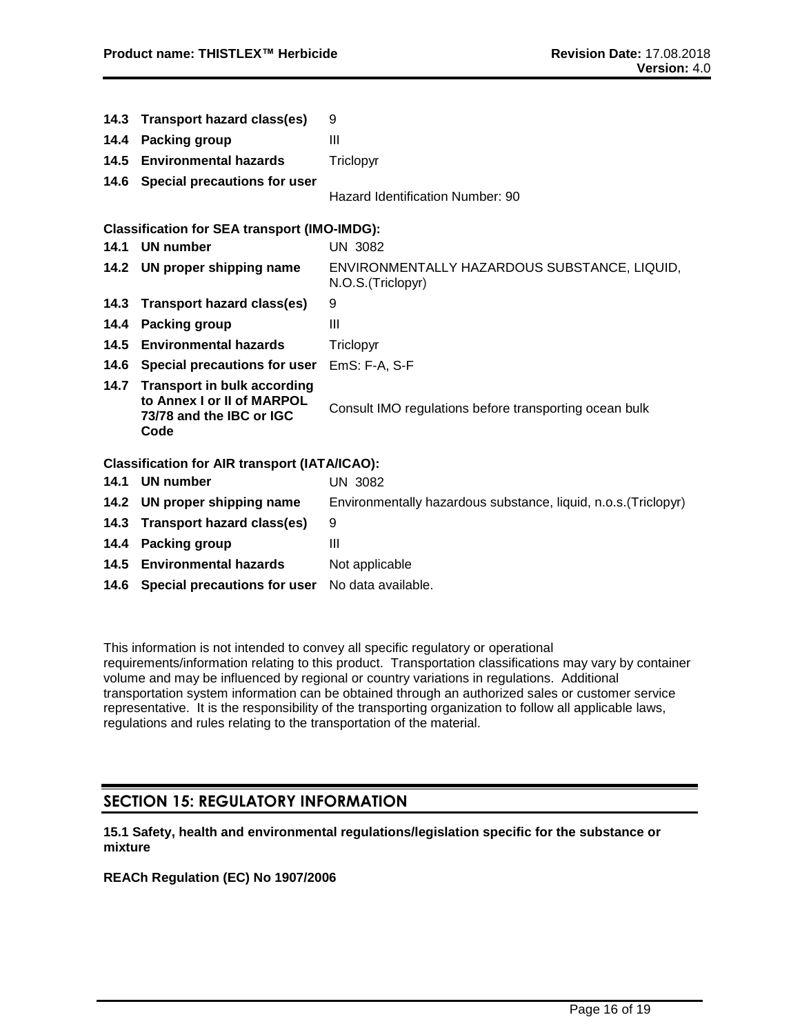| 14.3 | <b>Transport hazard class(es)</b>                                                                    | 9                                                                  |
|------|------------------------------------------------------------------------------------------------------|--------------------------------------------------------------------|
| 14.4 | <b>Packing group</b>                                                                                 | Ш                                                                  |
| 14.5 | <b>Environmental hazards</b>                                                                         | Triclopyr                                                          |
|      | 14.6 Special precautions for user                                                                    | Hazard Identification Number: 90                                   |
|      | <b>Classification for SEA transport (IMO-IMDG):</b>                                                  |                                                                    |
|      | 14.1 UN number                                                                                       | <b>UN 3082</b>                                                     |
|      | 14.2 UN proper shipping name                                                                         | ENVIRONMENTALLY HAZARDOUS SUBSTANCE, LIQUID,<br>N.O.S. (Triclopyr) |
| 14.3 | <b>Transport hazard class(es)</b>                                                                    | 9                                                                  |
| 14.4 | <b>Packing group</b>                                                                                 | Ш                                                                  |
| 14.5 | <b>Environmental hazards</b>                                                                         | Triclopyr                                                          |
|      | 14.6 Special precautions for user                                                                    | EmS: F-A, S-F                                                      |
| 14.7 | <b>Transport in bulk according</b><br>to Annex I or II of MARPOL<br>73/78 and the IBC or IGC<br>Code | Consult IMO regulations before transporting ocean bulk             |
|      | <b>Classification for AIR transport (IATA/ICAO):</b>                                                 |                                                                    |
| 14.1 | <b>UN number</b>                                                                                     | <b>UN 3082</b>                                                     |
| 14.2 | UN proper shipping name                                                                              | Environmentally hazardous substance, liquid, n.o.s. (Triclopyr)    |
| 14.3 | <b>Transport hazard class(es)</b>                                                                    | 9                                                                  |
| 14.4 | Packing group                                                                                        | $\mathbf{III}$                                                     |
|      | 14.5 Environmental hazards                                                                           | Not applicable                                                     |
|      | 14.6 Special precautions for user                                                                    | No data available.                                                 |

This information is not intended to convey all specific regulatory or operational requirements/information relating to this product. Transportation classifications may vary by container volume and may be influenced by regional or country variations in regulations. Additional transportation system information can be obtained through an authorized sales or customer service representative. It is the responsibility of the transporting organization to follow all applicable laws, regulations and rules relating to the transportation of the material.

## **SECTION 15: REGULATORY INFORMATION**

**15.1 Safety, health and environmental regulations/legislation specific for the substance or mixture**

**REACh Regulation (EC) No 1907/2006**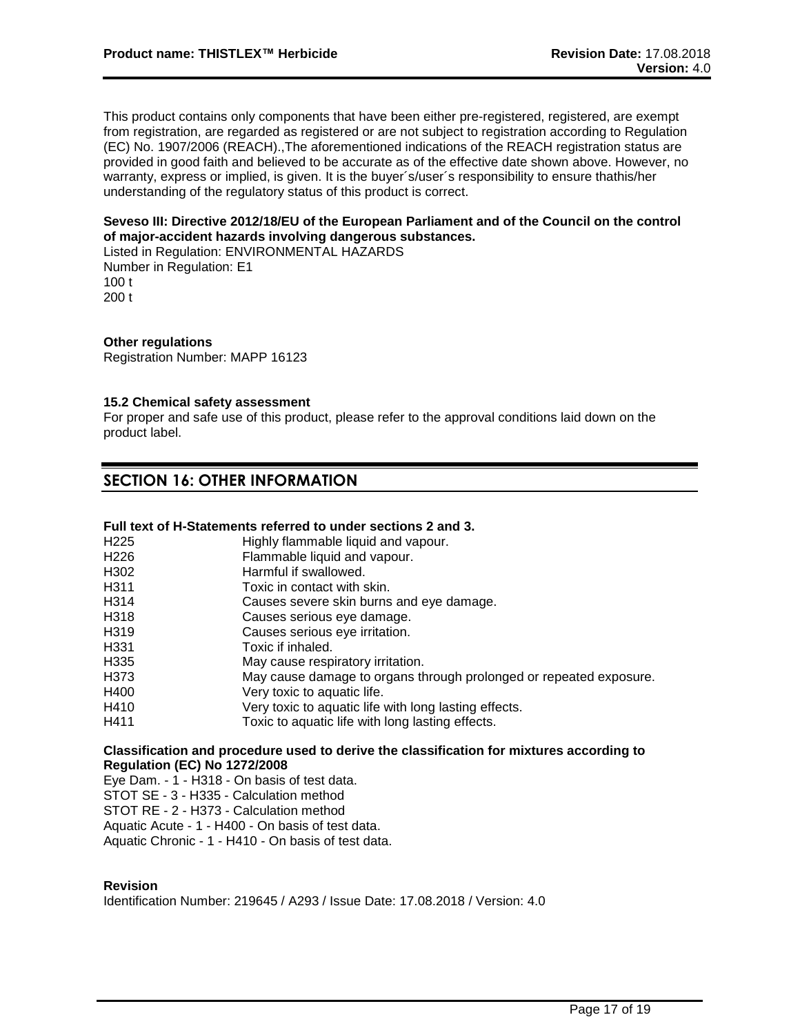This product contains only components that have been either pre-registered, registered, are exempt from registration, are regarded as registered or are not subject to registration according to Regulation (EC) No. 1907/2006 (REACH).,The aforementioned indications of the REACH registration status are provided in good faith and believed to be accurate as of the effective date shown above. However, no warranty, express or implied, is given. It is the buyer´s/user´s responsibility to ensure thathis/her understanding of the regulatory status of this product is correct.

### **Seveso III: Directive 2012/18/EU of the European Parliament and of the Council on the control of major-accident hazards involving dangerous substances.**

Listed in Regulation: ENVIRONMENTAL HAZARDS Number in Regulation: E1 100 t

200 t

### **Other regulations**

Registration Number: MAPP 16123

#### **15.2 Chemical safety assessment**

For proper and safe use of this product, please refer to the approval conditions laid down on the product label.

## **SECTION 16: OTHER INFORMATION**

### **Full text of H-Statements referred to under sections 2 and 3.**

| H <sub>225</sub>  | Highly flammable liquid and vapour.                                |
|-------------------|--------------------------------------------------------------------|
| H <sub>226</sub>  | Flammable liquid and vapour.                                       |
| H <sub>302</sub>  | Harmful if swallowed.                                              |
| H <sub>311</sub>  | Toxic in contact with skin.                                        |
| H314              | Causes severe skin burns and eye damage.                           |
| H318              | Causes serious eye damage.                                         |
| H <sub>3</sub> 19 | Causes serious eye irritation.                                     |
| H <sub>331</sub>  | Toxic if inhaled.                                                  |
| H <sub>335</sub>  | May cause respiratory irritation.                                  |
| H373              | May cause damage to organs through prolonged or repeated exposure. |
| H400              | Very toxic to aquatic life.                                        |
| H410              | Very toxic to aquatic life with long lasting effects.              |
| H411              | Toxic to aquatic life with long lasting effects.                   |
|                   |                                                                    |

### **Classification and procedure used to derive the classification for mixtures according to Regulation (EC) No 1272/2008**

Eye Dam. - 1 - H318 - On basis of test data.

STOT SE - 3 - H335 - Calculation method

STOT RE - 2 - H373 - Calculation method

Aquatic Acute - 1 - H400 - On basis of test data.

Aquatic Chronic - 1 - H410 - On basis of test data.

#### **Revision**

Identification Number: 219645 / A293 / Issue Date: 17.08.2018 / Version: 4.0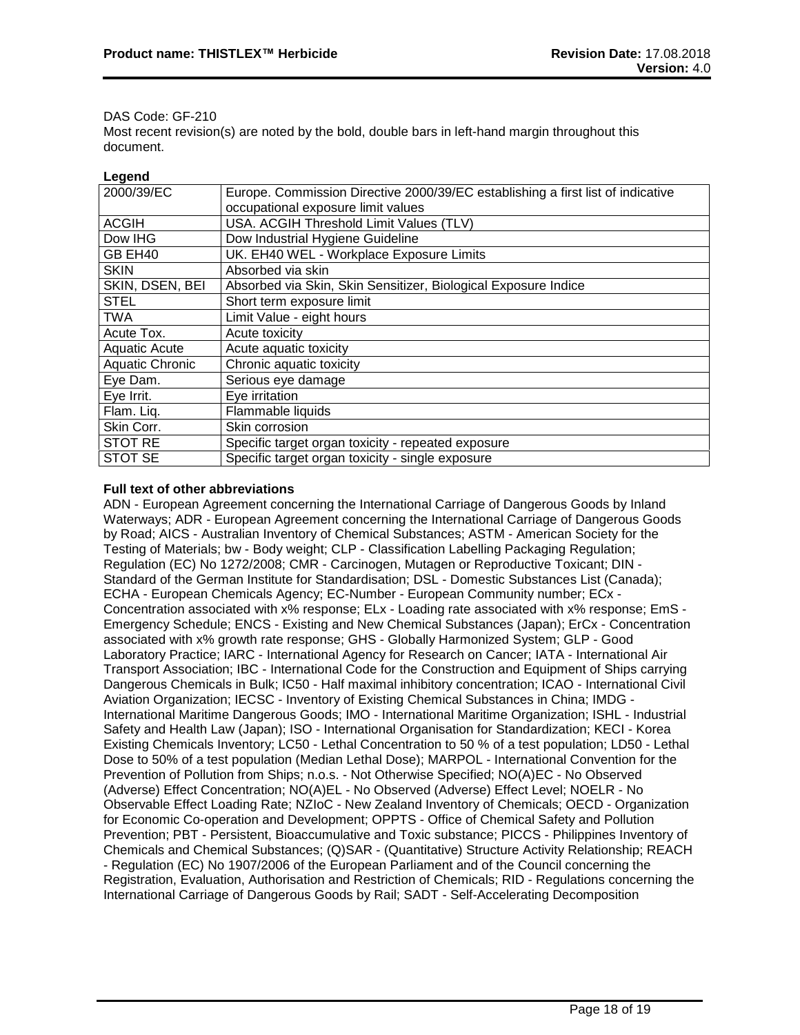#### DAS Code: GF-210

Most recent revision(s) are noted by the bold, double bars in left-hand margin throughout this document.

#### **Legend**

| 2000/39/EC           | Europe. Commission Directive 2000/39/EC establishing a first list of indicative |
|----------------------|---------------------------------------------------------------------------------|
|                      | occupational exposure limit values                                              |
| <b>ACGIH</b>         | USA. ACGIH Threshold Limit Values (TLV)                                         |
| Dow IHG              | Dow Industrial Hygiene Guideline                                                |
| GB EH40              | UK. EH40 WEL - Workplace Exposure Limits                                        |
| <b>SKIN</b>          | Absorbed via skin                                                               |
| SKIN, DSEN, BEI      | Absorbed via Skin, Skin Sensitizer, Biological Exposure Indice                  |
| <b>STEL</b>          | Short term exposure limit                                                       |
| <b>TWA</b>           | Limit Value - eight hours                                                       |
| Acute Tox.           | Acute toxicity                                                                  |
| <b>Aquatic Acute</b> | Acute aquatic toxicity                                                          |
| Aquatic Chronic      | Chronic aquatic toxicity                                                        |
| Eye Dam.             | Serious eye damage                                                              |
| Eye Irrit.           | Eye irritation                                                                  |
| Flam. Liq.           | Flammable liquids                                                               |
| Skin Corr.           | Skin corrosion                                                                  |
| <b>STOT RE</b>       | Specific target organ toxicity - repeated exposure                              |
| <b>STOT SE</b>       | Specific target organ toxicity - single exposure                                |

### **Full text of other abbreviations**

ADN - European Agreement concerning the International Carriage of Dangerous Goods by Inland Waterways; ADR - European Agreement concerning the International Carriage of Dangerous Goods by Road; AICS - Australian Inventory of Chemical Substances; ASTM - American Society for the Testing of Materials; bw - Body weight; CLP - Classification Labelling Packaging Regulation; Regulation (EC) No 1272/2008; CMR - Carcinogen, Mutagen or Reproductive Toxicant; DIN - Standard of the German Institute for Standardisation; DSL - Domestic Substances List (Canada); ECHA - European Chemicals Agency; EC-Number - European Community number; ECx - Concentration associated with x% response; ELx - Loading rate associated with x% response; EmS - Emergency Schedule; ENCS - Existing and New Chemical Substances (Japan); ErCx - Concentration associated with x% growth rate response; GHS - Globally Harmonized System; GLP - Good Laboratory Practice; IARC - International Agency for Research on Cancer; IATA - International Air Transport Association; IBC - International Code for the Construction and Equipment of Ships carrying Dangerous Chemicals in Bulk; IC50 - Half maximal inhibitory concentration; ICAO - International Civil Aviation Organization; IECSC - Inventory of Existing Chemical Substances in China; IMDG - International Maritime Dangerous Goods; IMO - International Maritime Organization; ISHL - Industrial Safety and Health Law (Japan); ISO - International Organisation for Standardization; KECI - Korea Existing Chemicals Inventory; LC50 - Lethal Concentration to 50 % of a test population; LD50 - Lethal Dose to 50% of a test population (Median Lethal Dose); MARPOL - International Convention for the Prevention of Pollution from Ships; n.o.s. - Not Otherwise Specified; NO(A)EC - No Observed (Adverse) Effect Concentration; NO(A)EL - No Observed (Adverse) Effect Level; NOELR - No Observable Effect Loading Rate; NZIoC - New Zealand Inventory of Chemicals; OECD - Organization for Economic Co-operation and Development; OPPTS - Office of Chemical Safety and Pollution Prevention; PBT - Persistent, Bioaccumulative and Toxic substance; PICCS - Philippines Inventory of Chemicals and Chemical Substances; (Q)SAR - (Quantitative) Structure Activity Relationship; REACH - Regulation (EC) No 1907/2006 of the European Parliament and of the Council concerning the Registration, Evaluation, Authorisation and Restriction of Chemicals; RID - Regulations concerning the International Carriage of Dangerous Goods by Rail; SADT - Self-Accelerating Decomposition